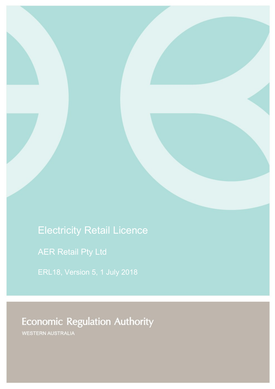# Electricity Retail Licence

AER Retail Pty Ltd

ERL18, Version 5, 1 July 2018

# **Economic Regulation Authority**

WESTERN AUSTRALIA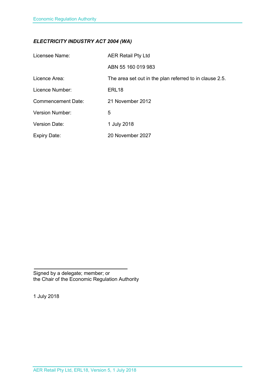## *ELECTRICITY INDUSTRY ACT 2004 (WA)*

| Licensee Name:            | <b>AER Retail Pty Ltd</b>                               |
|---------------------------|---------------------------------------------------------|
|                           | ABN 55 160 019 983                                      |
| Licence Area:             | The area set out in the plan referred to in clause 2.5. |
| Licence Number:           | ERL <sub>18</sub>                                       |
| <b>Commencement Date:</b> | 21 November 2012                                        |
| <b>Version Number:</b>    | 5                                                       |
| <b>Version Date:</b>      | 1 July 2018                                             |
| <b>Expiry Date:</b>       | 20 November 2027                                        |

Signed by a delegate; member; or the Chair of the Economic Regulation Authority

1 July 2018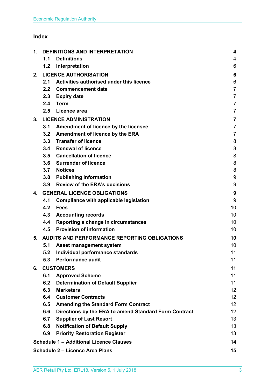## **Index**

| 1. | <b>DEFINITIONS AND INTERPRETATION</b> |                                                       | 4                       |
|----|---------------------------------------|-------------------------------------------------------|-------------------------|
|    | 1.1                                   | <b>Definitions</b>                                    | 4                       |
|    | 1.2                                   | Interpretation                                        | 6                       |
| 2. |                                       | <b>LICENCE AUTHORISATION</b>                          | 6                       |
|    | 2.1                                   | Activities authorised under this licence              | 6                       |
|    | 2.2                                   | <b>Commencement date</b>                              | $\overline{7}$          |
|    | 2.3                                   | <b>Expiry date</b>                                    | $\overline{7}$          |
|    | 2.4                                   | <b>Term</b>                                           | $\overline{7}$          |
|    | 2.5                                   | Licence area                                          | $\overline{7}$          |
| 3. |                                       | <b>LICENCE ADMINISTRATION</b>                         | $\overline{\mathbf{7}}$ |
|    | 3.1                                   | Amendment of licence by the licensee                  | $\overline{7}$          |
|    | 3.2                                   | Amendment of licence by the ERA                       | $\overline{7}$          |
|    |                                       | 3.3 Transfer of licence                               | 8                       |
|    | 3.4                                   | <b>Renewal of licence</b>                             | 8                       |
|    |                                       | 3.5 Cancellation of licence                           | 8                       |
|    | 3.6                                   | <b>Surrender of licence</b>                           | 8                       |
|    | 3.7                                   | <b>Notices</b>                                        | 8                       |
|    | 3.8                                   | <b>Publishing information</b>                         | 9                       |
|    | 3.9                                   | <b>Review of the ERA's decisions</b>                  | 9                       |
| 4. |                                       | <b>GENERAL LICENCE OBLIGATIONS</b>                    | 9                       |
|    | 4.1                                   | Compliance with applicable legislation                | 9                       |
|    | 4.2                                   | <b>Fees</b>                                           | 10                      |
|    | 4.3                                   | <b>Accounting records</b>                             | 10                      |
|    | 4.4                                   | Reporting a change in circumstances                   | 10                      |
|    | 4.5                                   | <b>Provision of information</b>                       | 10 <sup>1</sup>         |
| 5. |                                       | AUDITS AND PERFORMANCE REPORTING OBLIGATIONS          | 10                      |
|    | 5.1                                   | <b>Asset management system</b>                        | 10                      |
|    | 5.2                                   | Individual performance standards                      | 11                      |
|    | 5.3                                   | <b>Performance audit</b>                              | 11                      |
| 6. |                                       | <b>CUSTOMERS</b>                                      | 11                      |
|    | 6.1                                   | <b>Approved Scheme</b>                                | 11                      |
|    | 6.2                                   | <b>Determination of Default Supplier</b>              | 11                      |
|    | 6.3                                   | <b>Marketers</b>                                      | 12 <sub>2</sub>         |
|    | 6.4                                   | <b>Customer Contracts</b>                             | 12 <sup>°</sup>         |
|    | 6.5                                   | <b>Amending the Standard Form Contract</b>            | 12 <sub>2</sub>         |
|    | 6.6                                   | Directions by the ERA to amend Standard Form Contract | 12 <sub>2</sub>         |
|    | 6.7                                   | <b>Supplier of Last Resort</b>                        | 13                      |
|    | 6.8                                   | <b>Notification of Default Supply</b>                 | 13                      |
|    | 6.9                                   | <b>Priority Restoration Register</b>                  | 13                      |
|    |                                       | <b>Schedule 1 - Additional Licence Clauses</b>        | 14                      |
|    |                                       | <b>Schedule 2 - Licence Area Plans</b>                | 15                      |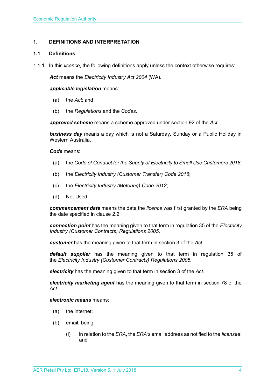## <span id="page-3-0"></span>**1. DEFINITIONS AND INTERPRETATION**

## <span id="page-3-1"></span>**1.1 Definitions**

1.1.1 In this *licence*, the following definitions apply unless the context otherwise requires:

*Act* means the *Electricity Industry Act 2004* (WA).

## *applicable legislation* means:

- (a) the *Act*; and
- (b) the *Regulations* and the *Codes*.

*approved scheme* means a scheme approved under section 92 of the *Act.* 

*business day* means a day which is not a Saturday, Sunday or a Public Holiday in Western Australia.

*Code* means:

- (a) the *Code of Conduct for the Supply of Electricity to Small Use Customers 2018*;
- (b) the *Electricity Industry (Customer Transfer) Code 2016*;
- (c) the *Electricity Industry (Metering) Code 2012*;
- (d) Not Used

*commencement date* means the date the *licence* was first granted by the *ERA* being the date specified in clause 2.2.

*connection point* has the meaning given to that term in regulation 35 of the *[Electricity](http://www.slp.wa.gov.au/legislation/statutes.nsf/main_mrtitle_1345_homepage.html)  [Industry \(Customer Contracts\) Regulations 2005](http://www.slp.wa.gov.au/legislation/statutes.nsf/main_mrtitle_1345_homepage.html)*.

*customer* has the meaning given to that term in section 3 of the *Act*.

*default supplier* has the meaning given to that term in regulation 35 of the *Electricity [Industry \(Customer Contracts\) Regulations 2005.](http://www.slp.wa.gov.au/legislation/statutes.nsf/main_mrtitle_1345_homepage.html)*

*electricity* has the meaning given to that term in section 3 of the *Act*.

*electricity marketing agent* has the meaning given to that term in section 78 of the *Act*.

## *electronic means* means:

- (a) the internet;
- (b) email, being:
	- (i) in relation to the *ERA*, the *ERA's* email address as notified to the *licensee*; and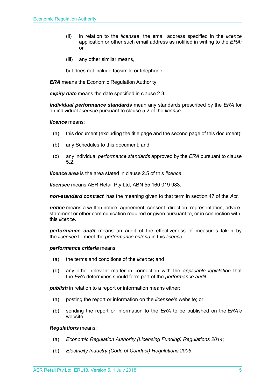- (ii) in relation to the *licensee*, the email address specified in the *licence* application or other such email address as notified in writing to the *ERA;* or
- (iii) any other similar means,

but does not include facsimile or telephone.

*ERA* means the Economic Regulation Authority.

*expiry date* means the date specified in clause 2.3*.*

*individual performance standards* mean any standards prescribed by the *ERA* for an individual *licensee* pursuant to clause 5.2 of the *licence*.

## *licence* means:

- (a) this document (excluding the title page and the second page of this document);
- (b) any Schedules to this document; and
- (c) any individual *performance standards* approved by the *ERA* pursuant to clause 5.2.

*licence area* is the area stated in clause 2.5 of this *licence*.

*licensee* means AER Retail Pty Ltd, ABN 55 160 019 983.

*non-standard contract* has the meaning given to that term in section 47 of the *Act.* 

*notice* means a written notice, agreement, consent, direction, representation, advice, statement or other communication required or given pursuant to, or in connection with, this *licence*.

*performance audit* means an audit of the effectiveness of measures taken by the *licensee* to meet the *performance criteria* in this *licence*.

*performance criteria* means:

- (a) the terms and conditions of the *licence*; and
- (b) any other relevant matter in connection with the *applicable legislation* that the *ERA* determines should form part of the *performance audit*.

*publish* in relation to a report or information means either:

- (a) posting the report or information on the *licensee's* website; or
- (b) sending the report or information to the *ERA* to be published on the *ERA's* website.

*Regulations* means:

- (a) *Economic Regulation Authority (Licensing Funding) Regulations 2014*;
- (b) *Electricity Industry (Code of Conduct) Regulations 2005*;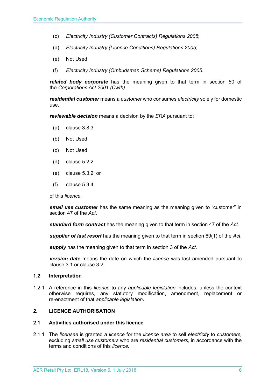- (c) *Electricity Industry (Customer Contracts) Regulations 2005*;
- (d) *Electricity Industry (Licence Conditions) Regulations 2005*;
- (e) Not Used
- (f) *Electricity Industry (Ombudsman Scheme) Regulations 2005.*

*related body corporate* has the meaning given to that term in section 50 of the *Corporations Act 2001 (Cwth)*.

*residential customer* means a *customer* who consumes *electricity* solely for domestic use.

*reviewable decision* means a decision by the *ERA* pursuant to:

- (a) clause 3.8.3;
- (b) Not Used
- (c) Not Used
- (d) clause 5.2.2;
- (e) clause 5.3.2; or
- (f) clause 5.3.4,

of this *licence*.

*small use customer* has the same meaning as the meaning given to "customer" in section 47 of the *Act*.

*standard form contract* has the meaning given to that term in section 47 of the *Act*.

*supplier of last resort* has the meaning given to that term in section 69(1) of the *Act*.

*supply* has the meaning given to that term in section 3 of the *Act*.

*version date* means the date on which the *licence* was last amended pursuant to clause 3.1 or clause 3.2.

#### <span id="page-5-0"></span>**1.2 Interpretation**

1.2.1 A reference in this *licence* to any *applicable legislation* includes, unless the context otherwise requires, any statutory modification, amendment, replacement or re-enactment of that *applicable legislation.*

## <span id="page-5-1"></span>**2. LICENCE AUTHORISATION**

## <span id="page-5-2"></span>**2.1 Activities authorised under this licence**

2.1.1 The *licensee* is granted a *licence* for the *licence area* to sell *electricity* to *customers,*  excluding *small use customers* who are *residential customers,* in accordance with the terms and conditions of this *licence.*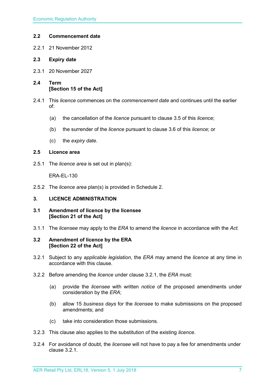## <span id="page-6-0"></span>**2.2 Commencement date**

2.2.1 21 November 2012

## <span id="page-6-1"></span>**2.3 Expiry date**

- 2.3.1 20 November 2027
- <span id="page-6-2"></span>**2.4 Term [Section 15 of the Act]**
- 2.4.1 This *licence* commences on the *commencement date* and continues until the earlier of:
	- (a) the cancellation of the *licence* pursuant to clause 3.5 of this *licence*;
	- (b) the surrender of the *licence* pursuant to clause 3.6 of this *licence*; or
	- (c) the *expiry date*.

## <span id="page-6-3"></span>**2.5 Licence area**

2.5.1 The *licence area* is set out in plan(s):

ERA-EL-130

2.5.2 The *licence area* plan(s) is provided in Schedule 2.

## <span id="page-6-4"></span>**3. LICENCE ADMINISTRATION**

- <span id="page-6-5"></span>**3.1 Amendment of licence by the licensee [Section 21 of the Act]**
- 3.1.1 The *licensee* may apply to the *ERA* to amend the *licence* in accordance with the *Act.*

## <span id="page-6-6"></span>**3.2 Amendment of licence by the ERA [Section 22 of the Act]**

- 3.2.1 Subject to any *applicable legislation*, the *ERA* may amend the *licence* at any time in accordance with this clause.
- 3.2.2 Before amending the *licence* under clause 3.2.1, the *ERA* must:
	- (a) provide the *licensee* with written *notice* of the proposed amendments under consideration by the *ERA*;
	- (b) allow 15 *business days* for the *licensee* to make submissions on the proposed amendments; and
	- (c) take into consideration those submissions.
- 3.2.3 This clause also applies to the substitution of the existing *licence*.
- 3.2.4 For avoidance of doubt, the *licensee* will not have to pay a fee for amendments under clause 3.2.1.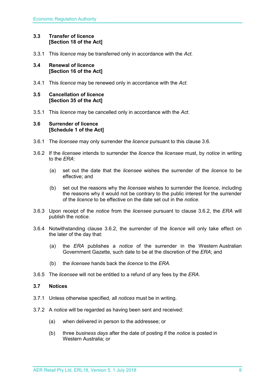## <span id="page-7-0"></span>**3.3 Transfer of licence [Section 18 of the Act]**

3.3.1 This *licence* may be transferred only in accordance with the *Act.*

## <span id="page-7-1"></span>**3.4 Renewal of licence [Section 16 of the Act]**

3.4.1 This *licence* may be renewed only in accordance with the *Act*.

## <span id="page-7-2"></span>**3.5 Cancellation of licence [Section 35 of the Act]**

3.5.1 This *licence* may be cancelled only in accordance with the *Act*.

## <span id="page-7-3"></span>**3.6 Surrender of licence [Schedule 1 of the Act]**

- 3.6.1 The *licensee* may only surrender the *licence* pursuant to this clause 3.6.
- 3.6.2 If the *licensee* intends to surrender the *licence* the *licensee* must, by *notice* in writing to the *ERA*:
	- (a) set out the date that the *licensee* wishes the surrender of the *licence* to be effective; and
	- (b) set out the reasons why the *licensee* wishes to surrender the *licence*, including the reasons why it would not be contrary to the public interest for the surrender of the *licence* to be effective on the date set out in the *notice*.
- 3.6.3 Upon receipt of the *notice* from the *licensee* pursuant to clause 3.6.2, the *ERA* will publish the *notice*.
- 3.6.4 Notwithstanding clause 3.6.2, the surrender of the *licence* will only take effect on the later of the day that:
	- (a) the *ERA* publishes a *notice* of the surrender in the Western Australian Government Gazette, such date to be at the discretion of the *ERA*; and
	- (b) the *licensee* hands back the *licence* to the *ERA*.
- 3.6.5 The *licensee* will not be entitled to a refund of any fees by the *ERA*.

## <span id="page-7-4"></span>**3.7 Notices**

- 3.7.1 Unless otherwise specified, all *notices* must be in writing.
- 3.7.2 A *notice* will be regarded as having been sent and received:
	- (a) when delivered in person to the addressee; or
	- (b) three *business days* after the date of posting if the *notice* is posted in Western Australia; or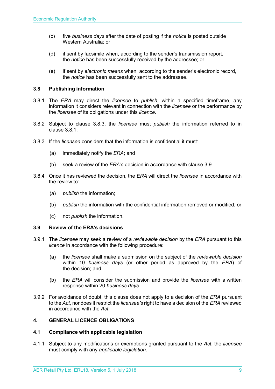- (c) five *business days* after the date of posting if the *notice* is posted outside Western Australia; or
- (d) if sent by facsimile when, according to the sender's transmission report, the *notice* has been successfully received by the addressee; or
- (e) if sent by *electronic means* when, according to the sender's electronic record, the *notice* has been successfully sent to the addressee.

## <span id="page-8-0"></span>**3.8 Publishing information**

- 3.8.1 The *ERA* may direct the *licensee* to *publish*, within a specified timeframe, any information it considers relevant in connection with the *licensee* or the performance by the *licensee* of its obligations under this *licence*.
- 3.8.2 Subject to clause 3.8.3, the *licensee* must *publish* the information referred to in clause 3.8.1.
- 3.8.3 If the *licensee* considers that the information is confidential it must:
	- (a) immediately notify the *ERA*; and
	- (b) seek a review of the *ERA's* decision in accordance with clause 3.9.
- 3.8.4 Once it has reviewed the decision, the *ERA* will direct the *licensee* in accordance with the review to:
	- (a) *publish* the information;
	- (b) *publish* the information with the confidential information removed or modified; or
	- (c) not *publish* the information.

## <span id="page-8-1"></span>**3.9 Review of the ERA's decisions**

- 3.9.1 The *licensee* may seek a review of a *reviewable decision* by the *ERA* pursuant to this *licence* in accordance with the following procedure:
	- (a) the *licensee* shall make a submission on the subject of the *reviewable decision* within 10 *business days* (or other period as approved by the *ERA*) of the decision; and
	- (b) the *ERA* will consider the submission and provide the *licensee* with a written response within 20 *business days*.
- 3.9.2 For avoidance of doubt, this clause does not apply to a decision of the *ERA* pursuant to the *Act*, nor does it restrict the *licensee's* right to have a decision of the *ERA* reviewed in accordance with the *Act*.

## <span id="page-8-2"></span>**4. GENERAL LICENCE OBLIGATIONS**

## <span id="page-8-3"></span>**4.1 Compliance with applicable legislation**

4.1.1 Subject to any modifications or exemptions granted pursuant to the *Act*, the *licensee* must comply with any *applicable legislation*.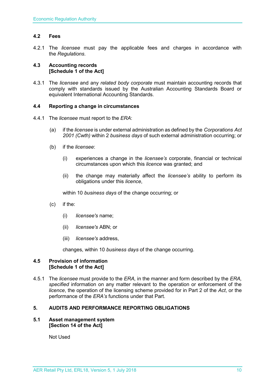## <span id="page-9-0"></span>**4.2 Fees**

4.2.1 The *licensee* must pay the applicable fees and charges in accordance with the *Regulations*.

## <span id="page-9-1"></span>**4.3 Accounting records [Schedule 1 of the Act]**

4.3.1 The *licensee* and any *related body corporate* must maintain accounting records that comply with standards issued by the Australian Accounting Standards Board or equivalent International Accounting Standards.

## <span id="page-9-2"></span>**4.4 Reporting a change in circumstances**

- 4.4.1 The *licensee* must report to the *ERA*:
	- (a) if the *licensee* is under external administration as defined by the *Corporations Act 2001 (Cwth)* within 2 *business days* of such external administration occurring; or
	- (b) if the *licensee*:
		- (i) experiences a change in the *licensee's* corporate, financial or technical circumstances upon which this *licence* was granted; and
		- (ii) the change may materially affect the *licensee's* ability to perform its obligations under this *licence*,

within 10 *business days* of the change occurring; or

- (c) if the:
	- (i) *licensee's* name;
	- (ii) *licensee's* ABN; or
	- (iii) *licensee's* address,

changes, within 10 *business days* of the change occurring.

## <span id="page-9-3"></span>**4.5 Provision of information [Schedule 1 of the Act]**

4.5.1 The *licensee* must provide to the *ERA,* in the manner and form described by the *ERA, specified* information on any matter relevant to the operation or enforcement of the *licence*, the operation of the licensing scheme provided for in Part 2 of the *Act*, or the performance of the *ERA's* functions under that Part.

## <span id="page-9-4"></span>**5. AUDITS AND PERFORMANCE REPORTING OBLIGATIONS**

## <span id="page-9-5"></span>**5.1 Asset management system [Section 14 of the Act]**

Not Used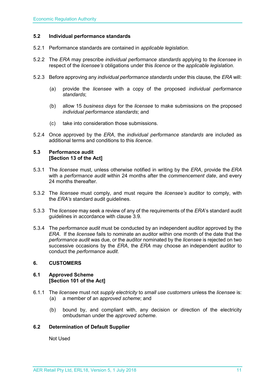## <span id="page-10-0"></span>**5.2 Individual performance standards**

- 5.2.1 Performance standards are contained in *applicable legislation*.
- 5.2.2 The *ERA* may prescribe *individual performance standards* applying to the *licensee* in respect of the *licensee's* obligations under this *licence* or the *applicable legislation*.
- 5.2.3 Before approving any *individual performance standards* under this clause, the *ERA* will:
	- (a) provide the *licensee* with a copy of the proposed *individual performance standards*;
	- (b) allow 15 *business days* for the *licensee* to make submissions on the proposed *individual performance standards*; and
	- (c) take into consideration those submissions.
- 5.2.4 Once approved by the *ERA*, the *individual performance standards* are included as additional terms and conditions to this *licence*.

## <span id="page-10-1"></span>**5.3 Performance audit [Section 13 of the Act]**

- 5.3.1 The *licensee* must, unless otherwise notified in writing by the *ERA*, provide the *ERA* with a *performance audit* within 24 months after the *commencement date*, and every 24 months thereafter.
- 5.3.2 The *licensee* must comply, and must require the *licensee's* auditor to comply, with the *ERA's* standard audit guidelines.
- 5.3.3 The *licensee* may seek a review of any of the requirements of the *ERA*'s standard audit guidelines in accordance with clause 3.9.
- 5.3.4 The *performance audit* must be conducted by an independent auditor approved by the *ERA*. If the *licensee* fails to nominate an auditor within one month of the date that the *performance audit* was due, or the auditor nominated by the *licensee* is rejected on two successive occasions by the *ERA*, the *ERA* may choose an independent auditor to conduct the *performance audit*.

## <span id="page-10-2"></span>**6. CUSTOMERS**

## <span id="page-10-3"></span>**6.1 Approved Scheme [Section 101 of the Act]**

- 6.1.1 The *licensee* must not *supply electricity* to *small use customers* unless the *licensee* is: (a) a member of an *approved scheme*; and
	- (b) bound by, and compliant with, any decision or direction of the electricity ombudsman under the *approved scheme*.

## <span id="page-10-4"></span>**6.2 Determination of Default Supplier**

Not Used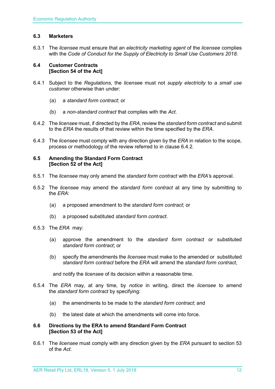## <span id="page-11-0"></span>**6.3 Marketers**

6.3.1 The *licensee* must ensure that an *electricity marketing agent* of the *licensee* complies with the *Code of Conduct for the Supply of Electricity to Small Use Customers 2018.*

## <span id="page-11-1"></span>**6.4 Customer Contracts [Section 54 of the Act]**

- 6.4.1 Subject to the *Regulations*, the *license*e must not *supply electricity* to a *small use customer* otherwise than under:
	- (a) a *standard form contract*; or
	- (b) a *non-standard contract* that complies with the *Act*.
- 6.4.2 The *licensee* must, if directed by the *ERA*, review the *standard form contract* and submit to the *ERA* the results of that review within the time specified by the *ERA*.
- 6.4.3 The *licensee* must comply with any direction given by the *ERA* in relation to the scope, process or methodology of the review referred to in clause 6.4.2.

## <span id="page-11-2"></span>**6.5 Amending the Standard Form Contract [Section 52 of the Act]**

- 6.5.1 The *licensee* may only amend the *standard form contract* with the *ERA'*s approval.
- 6.5.2 The *licensee* may amend the *standard form contract* at any time by submitting to the *ERA*:
	- (a) a proposed amendment to the *standard form contract*; or
	- (b) a proposed substituted *standard form contract*.
- 6.5.3 The *ERA* may:
	- (a) approve the amendment to the *standard form contract* or substituted *standard form contract*; or
	- (b) specify the amendments the *licensee* must make to the amended or substituted *standard form contract* before the *ERA* will amend the *standard form contract*,

and notify the *licensee* of its decision within a reasonable time.

- 6.5.4 The *ERA* may, at any time, by *notice* in writing, direct the *licensee* to amend the *standard form contract* by specifying:
	- (a) the amendments to be made to the *standard form contract*; and
	- (b) the latest date at which the amendments will come into force.

## <span id="page-11-3"></span>**6.6 Directions by the ERA to amend Standard Form Contract [Section 53 of the Act]**

6.6.1 The *licensee* must comply with any direction given by the *ERA* pursuant to section 53 of the *Act.*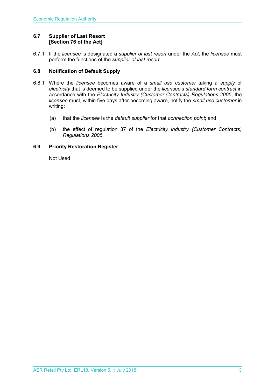## <span id="page-12-0"></span>**6.7 Supplier of Last Resort [Section 76 of the Act]**

6.7.1 If the *licensee* is designated a *supplier of last resort* under the *Act,* the *licensee* must perform the functions of the *supplier of last resort.* 

## <span id="page-12-1"></span>**6.8 Notification of Default Supply**

- 6.8.1 Where the *licensee* becomes aware of a *small use customer* taking a *supply* of *electricity* that is deemed to be supplied under the *licensee*'s *standard form contract* in accordance with the *[Electricity Industry \(Customer Contracts\) Regulations 2005](http://www.slp.wa.gov.au/legislation/statutes.nsf/main_mrtitle_1345_homepage.html)*, the *licensee* must, within five days after becoming aware, notify the *small use customer* in writing:
	- (a) that the *licensee* is the *default supplier* for that *connection point*; and
	- (b) the effect of regulation 37 of the *[Electricity Industry \(Customer Contracts\)](http://www.slp.wa.gov.au/legislation/statutes.nsf/main_mrtitle_1345_homepage.html)  [Regulations 2005](http://www.slp.wa.gov.au/legislation/statutes.nsf/main_mrtitle_1345_homepage.html)*.

## <span id="page-12-2"></span>**6.9 Priority Restoration Register**

Not Used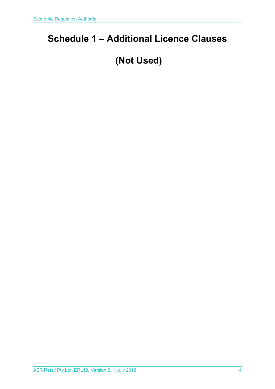## <span id="page-13-0"></span>**Schedule 1 – Additional Licence Clauses**

## **(Not Used)**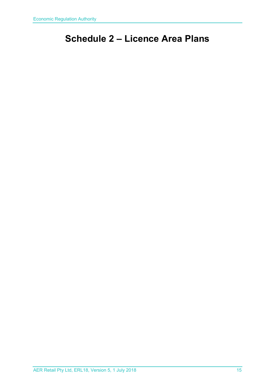## <span id="page-14-0"></span>**Schedule 2 – Licence Area Plans**